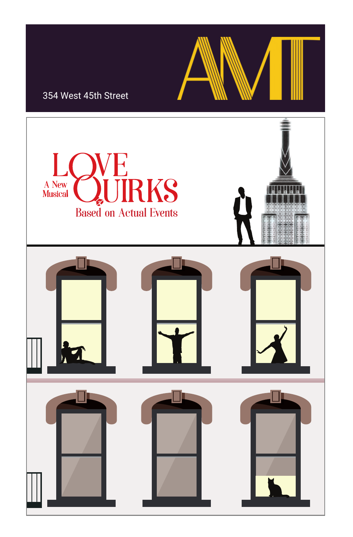### 354 West 45th Street

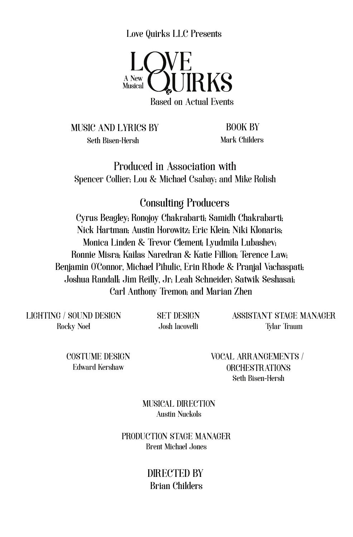Love Quirks LLC Presents



MUSIC AND LYRICS BY Seth Bisen-Hersh

BOOK BY Mark Childers

Produced in Association with Spencer Collier; Lou & Michael Csabay; and Mike Rolish

## Consulting Producers

Cyrus Beagley; Ronojoy Chakrabarti; Samidh Chakrabarti; Nick Hartman; Austin Horowitz; Eric Klein; Niki Klonaris; Monica Linden & Trevor Clement; Lyudmila Lubashev; Ronnie Misra; Kailas Naredran & Katie Fillion; Terence Law; Benjamin O'Connor, Michael Pihulic, Erin Rhode & Pranjal Vachaspati; Joshua Randall; Jim Reilly, Jr; Leah Schneider; Satwik Seshasai; Carl Anthony Tremon; and Marian Zhen

LIGHTING / SOUND DESIGN Rocky Noel

SET DESIGN Josh Iacovelli

ASSISTANT STAGE MANAGER Tylar Traum

COSTUME DESIGN Edward Kershaw

VOCAL ARRANGEMENTS / ORCHESTRATIONS Seth Bisen-Hersh

MUSICAL DIRECTION Austin Nuckols

PRODUCTION STAGE MANAGER Brent Michael Jones

> DIRECTED BY Brian Childers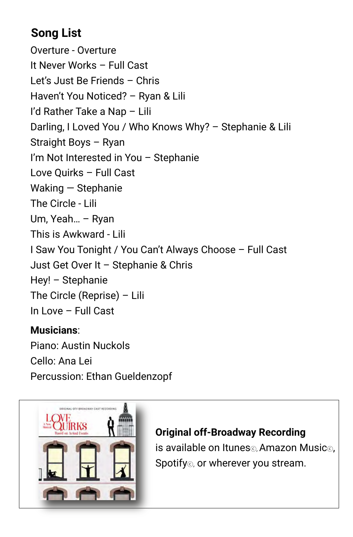## **Song List**

Overture - Overture It Never Works – Full Cast Let's Just Be Friends – Chris Haven't You Noticed? – Ryan & Lili I'd Rather Take a Nap – Lili Darling, I Loved You / Who Knows Why? – Stephanie & Lili Straight Boys – Ryan I'm Not Interested in You – Stephanie Love Quirks – Full Cast Waking — Stephanie The Circle - Lili Um, Yeah… – Ryan This is Awkward - Lili I Saw You Tonight / You Can't Always Choose – Full Cast Just Get Over It – Stephanie & Chris Hey! – Stephanie The Circle (Reprise) – Lili In Love – Full Cast

## **Musicians**:

Piano: Austin Nuckols Cello: Ana Lei Percussion: Ethan Gueldenzopf



## **Original off-Broadway Recording**

is available on Itunesⓒ, Amazon Musicⓒ, Spotify<sup>®</sup>, or wherever you stream.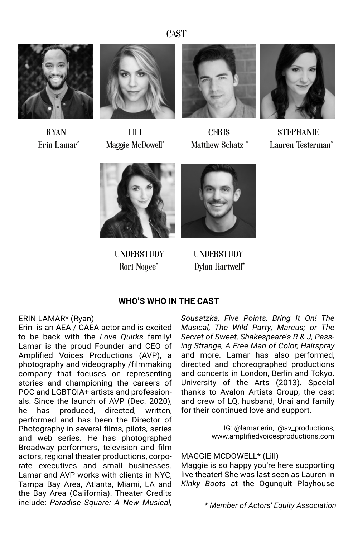**CAST** 





RYAN LILI CHRIS STEPHANIE





Erin Lamar\* Maggie McDowell\* Matthew Schatz \* Lauren Testerman\*





Rori Nogee\* Dylan Hartwell\* UNDERSTUDY UNDERSTUDY

#### **WHO'S WHO IN THE CAST**

#### ERIN LAMAR\* (Ryan)

Erin is an AEA / CAEA actor and is excited to be back with the *Love Quirks* family! Lamar is the proud Founder and CEO of Amplified Voices Productions (AVP), a photography and videography /filmmaking company that focuses on representing stories and championing the careers of POC and LGBTQIA+ artists and professionals. Since the launch of AVP (Dec. 2020), he has produced, directed, written, performed and has been the Director of Photography in several films, pilots, series and web series. He has photographed Broadway performers, television and film actors, regional theater productions, corporate executives and small businesses. Lamar and AVP works with clients in NYC, Tampa Bay Area, Atlanta, Miami, LA and the Bay Area (California). Theater Credits include: *Paradise Square: A New Musical,* 

*Sousatzka, Five Points, Bring It On! The Musical, The Wild Party, Marcus; or The Secret of Sweet, Shakespeare's R & J, Passing Strange, A Free Man of Color, Hairspray* and more. Lamar has also performed, directed and choreographed productions and concerts in London, Berlin and Tokyo. University of the Arts (2013). Special thanks to Avalon Artists Group, the cast and crew of LQ, husband, Unai and family for their continued love and support.

> IG: @lamar.erin, @av\_productions, www.amplifiedvoicesproductions.com

MAGGIE MCDOWELL\* (Lill)

Maggie is so happy you're here supporting live theater! She was last seen as Lauren in *Kinky Boots* at the Ogunquit Playhouse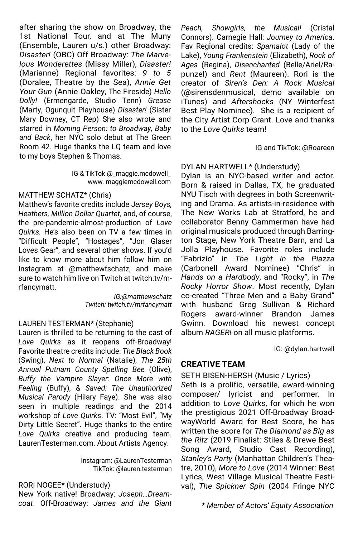after sharing the show on Broadway, the 1st National Tour, and at The Muny (Ensemble, Lauren u/s.) other Broadway: *Disaster!* (OBC) Off Broadway: *The Marvelous Wonderettes* (Missy Miller), *Disaster!* (Marianne) Regional favorites: *9 to 5*  (Doralee, Theatre by the Sea), *Annie Get Your Gun* (Annie Oakley, The Fireside) *Hello Dolly!* (Ermengarde, Studio Tenn) *Grease* (Marty, Ogunquit Playhouse) *Disaster!* (Sister Mary Downey, CT Rep) She also wrote and starred in *Morning Person: to Broadway, Baby and Back*, her NYC solo debut at The Green Room 42. Huge thanks the LQ team and love to my boys Stephen & Thomas.

> IG & TikTok @\_maggie.mcdowell\_ www. maggiemcdowell.com

#### MATTHEW SCHATZ\* (Chris)

Matthew's favorite credits include J*ersey Boys, Heathers, Million Dollar Quartet,* and, of course, the pre-pandemic-almost-production of *Love Quirks.* He's also been on TV a few times in "Difficult People", "Hostages", "Jon Glaser Loves Gear", and several other shows. If you'd like to know more about him follow him on Instagram at @matthewfschatz, and make sure to watch him live on Twitch at twitch.tv/mrfancymatt.

> *IG:@matthewschatz Twitch: twitch.tv/mrfancymatt*

#### LAUREN TESTERMAN\* (Stephanie)

Lauren is thrilled to be returning to the cast of *Love Quirks* as it reopens off-Broadway! Favorite theatre credits include: *The Black Book* (Swing), *Next to Normal* (Natalie), *The 25th Annual Putnam County Spelling Bee* (Olive), *Buffy the Vampire Slayer: Once More with Feeling* (Buffy), & *Saved: The Unauthorized Musical Parody* (Hilary Faye). She was also seen in multiple readings and the 2014 workshop of *Love Quirks*. TV: "Most Evil", "My Dirty Little Secret". Huge thanks to the entire *Love Quirks* creative and producing team. LaurenTesterman.com. About Artists Agency.

> Instagram: @LaurenTesterman TikTok: @lauren.testerman

#### RORI NOGEE\* (Understudy)

New York native! Broadway: *Joseph…Dreamcoat*. Off-Broadway: *James and the Giant*  *Peach, Showgirls, the Musical!* (Cristal Connors). Carnegie Hall: *Journey to America*. Fav Regional credits: *Spamalot* (Lady of the Lake), *Young Frankenstein* (Elizabeth), *Rock of Ages* (Regina), *Disenchanted* (Belle/Ariel/Rapunzel) and *Rent* (Maureen). Rori is the creator of *Siren's Den: A Rock Musical* (@sirensdenmusical, demo available on iTunes) and *Aftershocks* (NY Winterfest Best Play Nominee). She is a recipient of the City Artist Corp Grant. Love and thanks to the *Love Quirks* team!

#### IG and TikTok: @Roareen

#### DYLAN HARTWELL\* (Understudy)

Dylan is an NYC-based writer and actor. Born & raised in Dallas, TX, he graduated NYU Tisch with degrees in both Screenwriting and Drama. As artists-in-residence with The New Works Lab at Stratford, he and collaborator Benny Gammerman have had original musicals produced through Barrington Stage, New York Theatre Barn, and La Jolla Playhouse. Favorite roles include "Fabrizio" in *The Light in the Piazza*  (Carbonell Award Nominee) "Chris" in *Hands on a Hardbody*, and "Rocky", in *The Rocky Horror Show*. Most recently, Dylan co-created "Three Men and a Baby Grand" with husband Greg Sullivan & Richard Rogers award-winner Brandon James Gwinn. Download his newest concept album *RAGER!* on all music platforms.

IG: @dylan.hartwell

#### **CREATIVE TEAM**

#### SETH BISEN-HERSH (Music / Lyrics)

*S*eth is a prolific, versatile, award-winning composer/ lyricist and performer. In addition to *Love Quirks*, for which he won the prestigious 2021 Off-Broadway BroadwayWorld Award for Best Score, he has written the score for *The Diamond as Big as the Ritz* (2019 Finalist: Stiles & Drewe Best Song Award, Studio Cast Recording), *Stanley's Party* (Manhattan Children's Theatre, 2010), *More to Love* (2014 Winner: Best Lyrics, West Village Musical Theatre Festival), *The Spickner Spin* (2004 Fringe NYC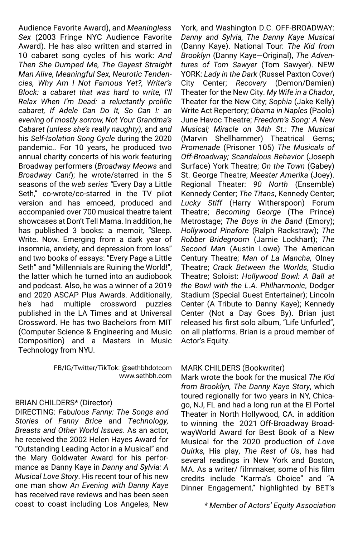Audience Favorite Award), and *Meaningless Sex* (2003 Fringe NYC Audience Favorite Award). He has also written and starred in 10 cabaret song cycles of his work: *And Then She Dumped Me, The Gayest Straight Man Alive, Meaningful Sex, Neurotic Tendencies, Why Am I Not Famous Yet?, Writer's Block: a cabaret that was hard to write, I'll Relax When I'm Dead: a reluctantly prolific cabaret, If Adele Can Do It, So Can I: an evening of mostly sorrow, Not Your Grandma's Cabaret (unless she's really naughty),* and *and*  his *Self-Isolation Song Cycle* during the 2020 pandemic.. For 10 years, he produced two annual charity concerts of his work featuring Broadway performers (*Broadway Meows* and *Broadway Can!*); he wrote/starred in the 5 seasons of the *web series "*Every Day a Little Seth," co-wrote/co-starred in the TV pilot version and has emceed, produced and accompanied over 700 musical theatre talent showcases at Don't Tell Mama. In addition, he has published 3 books: a memoir, "Sleep. Write. Now. Emerging from a dark year of insomnia, anxiety, and depression from loss" and two books of essays: "Every Page a Little Seth" and "Millennials are Ruining the World!", the latter which he turned into an audiobook and podcast. Also, he was a winner of a 2019 and 2020 ASCAP Plus Awards. Additionally, he's had multiple crossword puzzles published in the LA Times and at Universal Crossword. He has two Bachelors from MIT (Computer Science & Engineering and Music Composition) and a Masters in Music Technology from NYU.

> FB/IG/Twitter/TikTok: @sethbhdotcom www.sethbh.com

#### BRIAN CHILDERS\* (Director)

DIRECTING: *Fabulous Fanny: The Songs and Stories of Fanny Brice* and *Technology, Breasts and Other World Issues*. As an actor, he received the 2002 Helen Hayes Award for "Outstanding Leading Actor in a Musical" and the Mary Goldwater Award for his performance as Danny Kaye in *Danny and Sylvia: A Musical Love Story*. His recent tour of his new one man show *An Evening with Danny Kaye* has received rave reviews and has been seen coast to coast including Los Angeles, New

York, and Washington D.C. OFF-BROADWAY: *Danny and Sylvia, The Danny Kaye Musical*  (Danny Kaye). National Tour: *The Kid from Brooklyn* (Danny Kaye—Original), *The Adventures of Tom Sawyer* (Tom Sawyer). NEW YORK: *Lady in the Dark* (Russel Paxton Cover) City Center; *Recovery* (Demon/Damien) Theater for the New City. *My Wife in a Chador*, Theater for the New City; *Sophia* (Jake Kelly) Write Act Repertory; *Obama in Naples* (Paolo) June Havoc Theatre; *Freedom's Song: A New Musical; Miracle on 34th St.: The Musical*  (Marvin Shellhammer) Theatrical Gems; *Promenade* (Prisoner 105) *The Musicals of Off-Broadway; Scandalous Behavior* (Joseph Surface) York Theatre; *On the Town* (Gabey) St. George Theatre; *Meester Amerika* (Joey). Regional Theater: *90 North* (Ensemble) Kennedy Center; *The Titans*, Kennedy Center; *Lucky Stiff* (Harry Witherspoon) Forum Theatre; *Becoming George* (The Prince) Metrostage; *The Boys in the Band* (Emory); *Hollywood Pinafore* (Ralph Rackstraw); *The Robber Bridegroom* (Jamie Lockhart); *The Second Man* (Austin Lowe) The American Century Theatre; *Man of La Mancha,* Olney Theatre; *Crack Between the Worlds*, Studio Theatre; Soloist: *Hollywood Bowl: A Ball at the Bowl with the L.A. Philharmonic*, Dodger Stadium (Special Guest Entertainer); Lincoln Center (A Tribute to Danny Kaye); Kennedy Center (Not a Day Goes By). Brian just released his first solo album, "Life Unfurled", on all platforms. Brian is a proud member of Actor's Equity.

#### MARK CHILDERS (Bookwriter)

Mark wrote the book for the musical *The Kid from Brooklyn, The Danny Kaye Story*, which toured regionally for two years in NY, Chicago, NJ, FL and had a long run at the El Portel Theater in North Hollywood, CA. in addition to winning the 2021 Off-Broadway BroadwayWorld Award for Best Book of a New Musical for the 2020 production of *Love Quirks,* His play, *The Rest of Us*, has had several readings in New York and Boston, MA. As a writer/ filmmaker, some of his film credits include "Karma's Choice" and "A Dinner Engagement," highlighted by BET's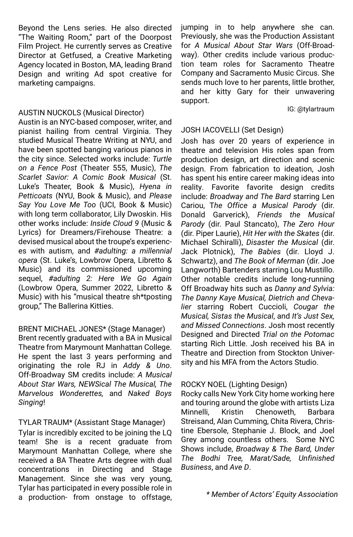Beyond the Lens series. He also directed "The Waiting Room," part of the Doorpost Film Project. He currently serves as Creative Director at Getfused, a Creative Marketing Agency located in Boston, MA, leading Brand Design and writing Ad spot creative for marketing campaigns.

#### AUSTIN NUCKOLS (Musical Director)

Austin is an NYC-based composer, writer, and pianist hailing from central Virginia. They studied Musical Theatre Writing at NYU, and have been spotted banging various pianos in the city since. Selected works include: *Turtle on a Fence Post* (Theater 555, Music), *The Scarlet Savior: A Comic Book Musical* (St. Luke's Theater, Book & Music), *Hyena in Petticoats* (NYU, Book & Music), and *Please Say You Love Me Too* (UCI, Book & Music) with long term collaborator, Lily Dwoskin. His other works include: *Inside Cloud 9* (Music & Lyrics) for Dreamers/Firehouse Theatre: a devised musical about the troupe's experiences with autism, and *#adulting: a millennial opera* (St. Luke's, Lowbrow Opera, Libretto & Music) and its commissioned upcoming sequel, *#adulting 2: Here We Go Again* (Lowbrow Opera, Summer 2022, Libretto & Music) with his "musical theatre sh\*tposting group," The Ballerina Kitties.

#### BRENT MICHAEL JONES\* (Stage Manager)

Brent recently graduated with a BA in Musical Theatre from Marymount Manhattan College. He spent the last 3 years performing and originating the role RJ in *Addy & Uno*. Off-Broadway SM credits include: *A Musical About Star Wars, NEWSical The Musical, The Marvelous Wonderettes,* and *Naked Boys Singing*!

#### TYLAR TRAUM\* (Assistant Stage Manager)

Tylar is incredibly excited to be joining the LQ team! She is a recent graduate from Marymount Manhattan College, where she received a BA Theatre Arts degree with dual concentrations in Directing and Stage Management. Since she was very young, Tylar has participated in every possible role in a production- from onstage to offstage, jumping in to help anywhere she can. Previously, she was the Production Assistant for *A Musical About Star Wars* (Off-Broadway). Other credits include various production team roles for Sacramento Theatre Company and Sacramento Music Circus. She sends much love to her parents, little brother, and her kitty Gary for their unwavering support.

#### IG: @tylartraum

#### JOSH IACOVELLI (Set Design)

Josh has over 20 years of experience in theatre and television His roles span from production design, art direction and scenic design. From fabrication to ideation, Josh has spent his entire career making ideas into reality. Favorite favorite design credits include: *Broadway and The Bard* starring Len Cariou, T*he Office a Musical Parody* (dir. Donald Garverick), *Friends the Musical Parody* (dir. Paul Stancato), *The Zero Hour*  (dir. Piper Laurie), *Hit Her with the Skates* (dir. Michael Schiralli), *Disaster the Musical* (dir. Jack Plotnick), *The Babies* (dir. Lloyd J. Schwartz), and *The Book of Merman* (dir. Joe Langworth) Bartenders starring Lou Mustillo. Other notable credits include long-running Off Broadway hits such as *Danny and Sylvia: The Danny Kaye Musical, Dietrich and Chevalier* starring Robert Cuccioli, *Cougar the Musical, Sistas the Musical*, and *It's Just Sex, and Missed Connections*. Josh most recently Designed and Directed *Trial on the Potomac* starting Rich Little. Josh received his BA in Theatre and Direction from Stockton University and his MFA from the Actors Studio.

#### ROCKY NOEL (Lighting Design)

Rocky calls New York City home working here and touring around the globe with artists Liza Minnelli, Kristin Chenoweth, Barbara Streisand, Alan Cumming, Chita Rivera, Christine Ebersole, Stephanie J. Block, and Joel Grey among countless others. Some NYC Shows include, *Broadway & The Bard, Under The Bodhi Tree, Marat/Sade, Unfinished Business*, and *Ave D*.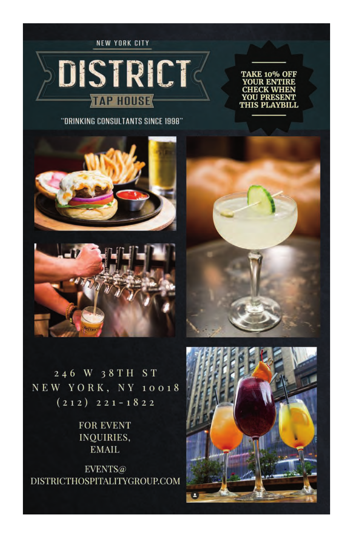NEW YORK CITY

# DISTRICT **TAP HOUSE**

"DRINKING CONSULTANTS SINCE 1998"





246 W 38TH ST NEW YORK, NY 10018  $(212)$   $221 - 1822$ 

> **FOR EVENT** INQUIRIES, **EMAIL**

EVENTS@ DISTRICTHOSPITALITYGROUP.COM



TAKE 10% OFF **YOUR ENTIRE CHECK WHEI YOU PRESENT<br>THIS PLAYBILL**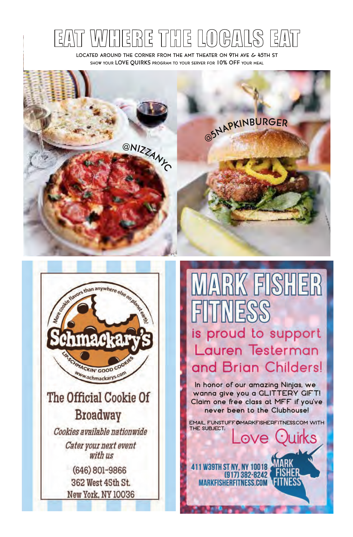#### IS EAT 品  $\begin{bmatrix} 1 \\ 2 \end{bmatrix}$ | 달 [ E *[ A* ) ]  $\frac{0}{n}$

LOCATED AROUND THE CORNER FROM THE AMT THEATER ON 9TH AVE & 45TH ST SHOW YOUR LOVE QUIRKS PROGRAM TO YOUR SERVER FOR 10% OFF YOUR MEAL





**IARK FISHER THALESSS** is proud to support Lauren Testerman

In honor of our amazing Ninjas, we wanna give you a GLITTERY GIFT! Claim one free class at MFF if you've never been to the Clubhouse!

and Brian Childers!

EMAIL FUNSTUFF@MARKFISHERFITNESSCOM WITH THE SUBJECT. **Juirks** ove.

**FISHER** 

**1 W39TH ST NY. NY 10018** 

**MARKFISHERFITNESS.COM** 

(917) 382-8242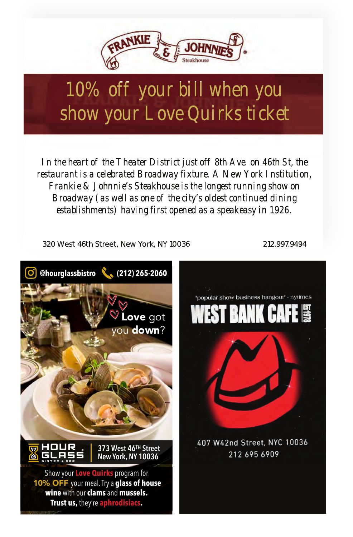

## *10% off your bill when you show your Love Quirks ticket*

*In the heart of the Theater District just off 8th Ave. on 46th St, the restaurant is a celebrated Broadway fixture. A New York Institution, Frankie & Johnnie's Steakhouse is the longest running show on Broadway (as well as one of the city's oldest continued dining establishments) having first opened as a speakeasy in 1926.*

320 West 46th Street, New York, NY 10036 212.997.9494